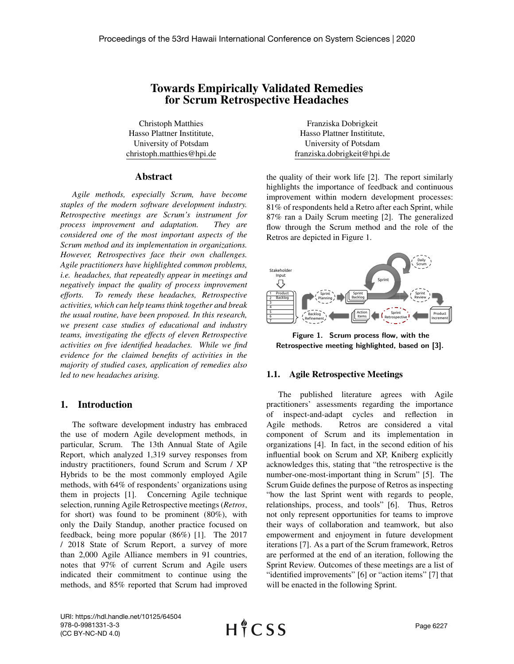# Towards Empirically Validated Remedies for Scrum Retrospective Headaches

Christoph Matthies Hasso Plattner Instititute, University of Potsdam christoph.matthies@hpi.de

#### Abstract

*Agile methods, especially Scrum, have become staples of the modern software development industry. Retrospective meetings are Scrum's instrument for process improvement and adaptation. They are considered one of the most important aspects of the Scrum method and its implementation in organizations. However, Retrospectives face their own challenges. Agile practitioners have highlighted common problems, i.e. headaches, that repeatedly appear in meetings and negatively impact the quality of process improvement efforts. To remedy these headaches, Retrospective activities, which can help teams think together and break the usual routine, have been proposed. In this research, we present case studies of educational and industry teams, investigating the effects of eleven Retrospective activities on five identified headaches. While we find evidence for the claimed benefits of activities in the majority of studied cases, application of remedies also led to new headaches arising.*

## 1. Introduction

The software development industry has embraced the use of modern Agile development methods, in particular, Scrum. The 13th Annual State of Agile Report, which analyzed 1,319 survey responses from industry practitioners, found Scrum and Scrum / XP Hybrids to be the most commonly employed Agile methods, with 64% of respondents' organizations using them in projects [1]. Concerning Agile technique selection, running Agile Retrospective meetings (*Retros*, for short) was found to be prominent (80%), with only the Daily Standup, another practice focused on feedback, being more popular (86%) [1]. The 2017 / 2018 State of Scrum Report, a survey of more than 2,000 Agile Alliance members in 91 countries, notes that 97% of current Scrum and Agile users indicated their commitment to continue using the methods, and 85% reported that Scrum had improved

Franziska Dobrigkeit Hasso Plattner Instititute, University of Potsdam franziska.dobrigkeit@hpi.de

the quality of their work life [2]. The report similarly highlights the importance of feedback and continuous improvement within modern development processes: 81% of respondents held a Retro after each Sprint, while 87% ran a Daily Scrum meeting [2]. The generalized flow through the Scrum method and the role of the Retros are depicted in Figure 1.



Figure 1. Scrum process flow, with the Retrospective meeting highlighted, based on [3].

## 1.1. Agile Retrospective Meetings

The published literature agrees with Agile practitioners' assessments regarding the importance of inspect-and-adapt cycles and reflection in Agile methods. Retros are considered a vital component of Scrum and its implementation in organizations [4]. In fact, in the second edition of his influential book on Scrum and XP, Kniberg explicitly acknowledges this, stating that "the retrospective is the number-one-most-important thing in Scrum" [5]. The Scrum Guide defines the purpose of Retros as inspecting "how the last Sprint went with regards to people, relationships, process, and tools" [6]. Thus, Retros not only represent opportunities for teams to improve their ways of collaboration and teamwork, but also empowerment and enjoyment in future development iterations [7]. As a part of the Scrum framework, Retros are performed at the end of an iteration, following the Sprint Review. Outcomes of these meetings are a list of "identified improvements" [6] or "action items" [7] that will be enacted in the following Sprint.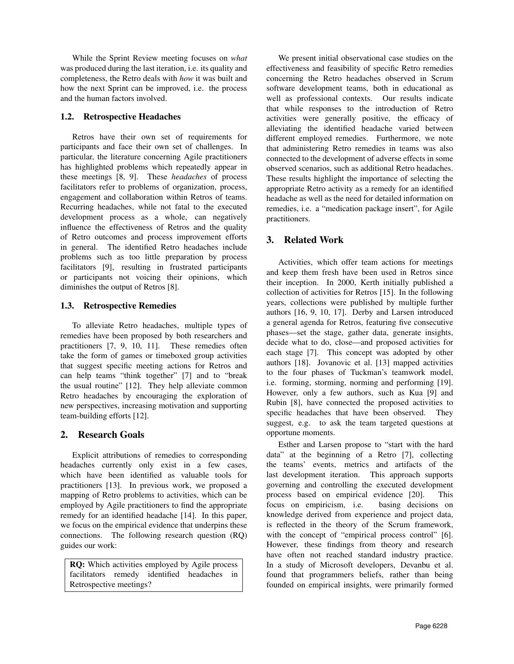While the Sprint Review meeting focuses on *what* was produced during the last iteration, i.e. its quality and completeness, the Retro deals with *how* it was built and how the next Sprint can be improved, i.e. the process and the human factors involved.

## 1.2. Retrospective Headaches

Retros have their own set of requirements for participants and face their own set of challenges. In particular, the literature concerning Agile practitioners has highlighted problems which repeatedly appear in these meetings [8, 9]. These *headaches* of process facilitators refer to problems of organization, process, engagement and collaboration within Retros of teams. Recurring headaches, while not fatal to the executed development process as a whole, can negatively influence the effectiveness of Retros and the quality of Retro outcomes and process improvement efforts in general. The identified Retro headaches include problems such as too little preparation by process facilitators [9], resulting in frustrated participants or participants not voicing their opinions, which diminishes the output of Retros [8].

## 1.3. Retrospective Remedies

To alleviate Retro headaches, multiple types of remedies have been proposed by both researchers and practitioners [7, 9, 10, 11]. These remedies often take the form of games or timeboxed group activities that suggest specific meeting actions for Retros and can help teams "think together" [7] and to "break the usual routine" [12]. They help alleviate common Retro headaches by encouraging the exploration of new perspectives, increasing motivation and supporting team-building efforts [12].

# 2. Research Goals

Explicit attributions of remedies to corresponding headaches currently only exist in a few cases, which have been identified as valuable tools for practitioners [13]. In previous work, we proposed a mapping of Retro problems to activities, which can be employed by Agile practitioners to find the appropriate remedy for an identified headache [14]. In this paper, we focus on the empirical evidence that underpins these connections. The following research question (RQ) guides our work:

RQ: Which activities employed by Agile process facilitators remedy identified headaches in Retrospective meetings?

We present initial observational case studies on the effectiveness and feasibility of specific Retro remedies concerning the Retro headaches observed in Scrum software development teams, both in educational as well as professional contexts. Our results indicate that while responses to the introduction of Retro activities were generally positive, the efficacy of alleviating the identified headache varied between different employed remedies. Furthermore, we note that administering Retro remedies in teams was also connected to the development of adverse effects in some observed scenarios, such as additional Retro headaches. These results highlight the importance of selecting the appropriate Retro activity as a remedy for an identified headache as well as the need for detailed information on remedies, i.e. a "medication package insert", for Agile practitioners.

# 3. Related Work

Activities, which offer team actions for meetings and keep them fresh have been used in Retros since their inception. In 2000, Kerth initially published a collection of activities for Retros [15]. In the following years, collections were published by multiple further authors [16, 9, 10, 17]. Derby and Larsen introduced a general agenda for Retros, featuring five consecutive phases—set the stage, gather data, generate insights, decide what to do, close—and proposed activities for each stage [7]. This concept was adopted by other authors [18]. Jovanovic et al. [13] mapped activities to the four phases of Tuckman's teamwork model, i.e. forming, storming, norming and performing [19]. However, only a few authors, such as Kua [9] and Rubin [8], have connected the proposed activities to specific headaches that have been observed. They suggest, e.g. to ask the team targeted questions at opportune moments.

Esther and Larsen propose to "start with the hard data" at the beginning of a Retro [7], collecting the teams' events, metrics and artifacts of the last development iteration. This approach supports governing and controlling the executed development process based on empirical evidence [20]. This focus on empiricism, i.e. basing decisions on knowledge derived from experience and project data, is reflected in the theory of the Scrum framework, with the concept of "empirical process control" [6]. However, these findings from theory and research have often not reached standard industry practice. In a study of Microsoft developers, Devanbu et al. found that programmers beliefs, rather than being founded on empirical insights, were primarily formed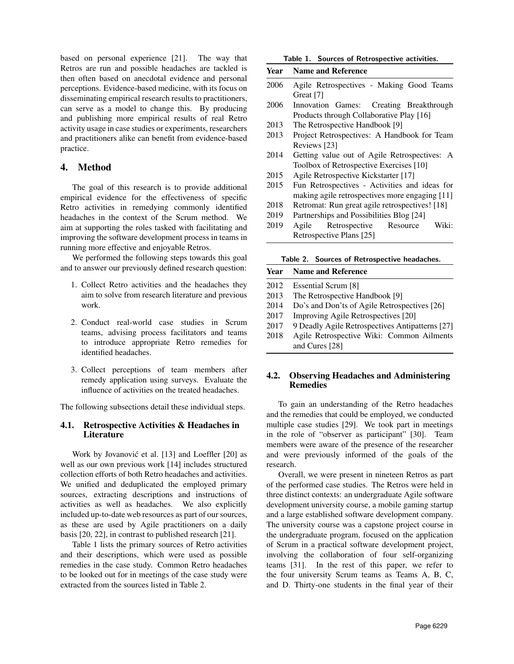based on personal experience [21]. The way that Retros are run and possible headaches are tackled is then often based on anecdotal evidence and personal perceptions. Evidence-based medicine, with its focus on disseminating empirical research results to practitioners, can serve as a model to change this. By producing and publishing more empirical results of real Retro activity usage in case studies or experiments, researchers and practitioners alike can benefit from evidence-based practice.

## 4. Method

The goal of this research is to provide additional empirical evidence for the effectiveness of specific Retro activities in remedying commonly identified headaches in the context of the Scrum method. We aim at supporting the roles tasked with facilitating and improving the software development process in teams in running more effective and enjoyable Retros.

We performed the following steps towards this goal and to answer our previously defined research question:

- 1. Collect Retro activities and the headaches they aim to solve from research literature and previous work.
- 2. Conduct real-world case studies in Scrum teams, advising process facilitators and teams to introduce appropriate Retro remedies for identified headaches.
- 3. Collect perceptions of team members after remedy application using surveys. Evaluate the influence of activities on the treated headaches.

The following subsections detail these individual steps.

#### 4.1. Retrospective Activities & Headaches in **Literature**

Work by Jovanović et al. [13] and Loeffler [20] as well as our own previous work [14] includes structured collection efforts of both Retro headaches and activities. We unified and deduplicated the employed primary sources, extracting descriptions and instructions of activities as well as headaches. We also explicitly included up-to-date web resources as part of our sources, as these are used by Agile practitioners on a daily basis [20, 22], in contrast to published research [21].

Table 1 lists the primary sources of Retro activities and their descriptions, which were used as possible remedies in the case study. Common Retro headaches to be looked out for in meetings of the case study were extracted from the sources listed in Table 2.

Table 1. Sources of Retrospective activities.

| rable 1. Sources of Retrospective activities. |                                                |  |  |
|-----------------------------------------------|------------------------------------------------|--|--|
| Year                                          | <b>Name and Reference</b>                      |  |  |
| 2006                                          | Agile Retrospectives - Making Good Teams       |  |  |
|                                               | Great [7]                                      |  |  |
| 2006                                          | Innovation Games: Creating Breakthrough        |  |  |
|                                               | Products through Collaborative Play [16]       |  |  |
| 2013                                          | The Retrospective Handbook [9]                 |  |  |
| 2013                                          | Project Retrospectives: A Handbook for Team    |  |  |
|                                               | Reviews [23]                                   |  |  |
| 2014                                          | Getting value out of Agile Retrospectives: A   |  |  |
|                                               | Toolbox of Retrospective Exercises [10]        |  |  |
| 2015                                          | Agile Retrospective Kickstarter [17]           |  |  |
| 2015                                          | Fun Retrospectives - Activities and ideas for  |  |  |
|                                               | making agile retrospectives more engaging [11] |  |  |
| 2018                                          | Retromat: Run great agile retrospectives! [18] |  |  |
| 2019                                          | Partnerships and Possibilities Blog [24]       |  |  |
| 2019                                          | Wiki:<br>Resource<br>Retrospective<br>Agile    |  |  |
|                                               | Retrospective Plans [25]                       |  |  |

|  |  |  | Table 2. Sources of Retrospective headaches. |  |
|--|--|--|----------------------------------------------|--|
|--|--|--|----------------------------------------------|--|

|      | <b>Year</b> Name and Reference                  |  |  |
|------|-------------------------------------------------|--|--|
| 2012 | <b>Essential Scrum [8]</b>                      |  |  |
| 2013 | The Retrospective Handbook [9]                  |  |  |
| 2014 | Do's and Don'ts of Agile Retrospectives [26]    |  |  |
| 2017 | Improving Agile Retrospectives [20]             |  |  |
| 2017 | 9 Deadly Agile Retrospectives Antipatterns [27] |  |  |
| 2018 | Agile Retrospective Wiki: Common Ailments       |  |  |
|      | and Cures [28]                                  |  |  |

### 4.2. Observing Headaches and Administering Remedies

To gain an understanding of the Retro headaches and the remedies that could be employed, we conducted multiple case studies [29]. We took part in meetings in the role of "observer as participant" [30]. Team members were aware of the presence of the researcher and were previously informed of the goals of the research.

Overall, we were present in nineteen Retros as part of the performed case studies. The Retros were held in three distinct contexts: an undergraduate Agile software development university course, a mobile gaming startup and a large established software development company. The university course was a capstone project course in the undergraduate program, focused on the application of Scrum in a practical software development project, involving the collaboration of four self-organizing teams [31]. In the rest of this paper, we refer to the four university Scrum teams as Teams A, B, C, and D. Thirty-one students in the final year of their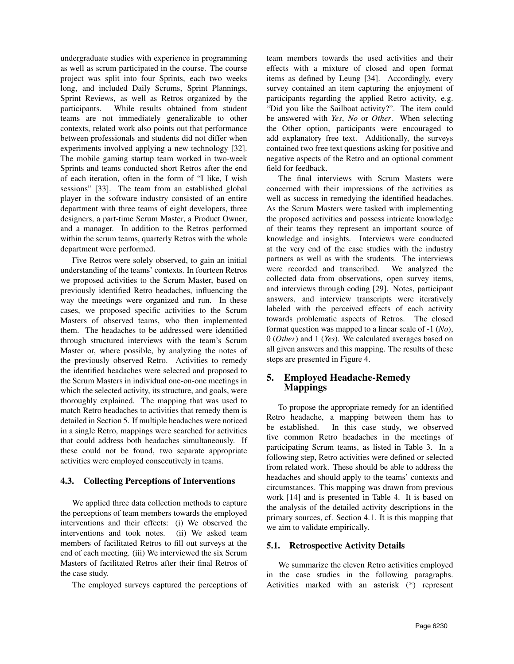undergraduate studies with experience in programming as well as scrum participated in the course. The course project was split into four Sprints, each two weeks long, and included Daily Scrums, Sprint Plannings, Sprint Reviews, as well as Retros organized by the participants. While results obtained from student teams are not immediately generalizable to other contexts, related work also points out that performance between professionals and students did not differ when experiments involved applying a new technology [32]. The mobile gaming startup team worked in two-week Sprints and teams conducted short Retros after the end of each iteration, often in the form of "I like, I wish sessions" [33]. The team from an established global player in the software industry consisted of an entire department with three teams of eight developers, three designers, a part-time Scrum Master, a Product Owner, and a manager. In addition to the Retros performed within the scrum teams, quarterly Retros with the whole department were performed.

Five Retros were solely observed, to gain an initial understanding of the teams' contexts. In fourteen Retros we proposed activities to the Scrum Master, based on previously identified Retro headaches, influencing the way the meetings were organized and run. In these cases, we proposed specific activities to the Scrum Masters of observed teams, who then implemented them. The headaches to be addressed were identified through structured interviews with the team's Scrum Master or, where possible, by analyzing the notes of the previously observed Retro. Activities to remedy the identified headaches were selected and proposed to the Scrum Masters in individual one-on-one meetings in which the selected activity, its structure, and goals, were thoroughly explained. The mapping that was used to match Retro headaches to activities that remedy them is detailed in Section 5. If multiple headaches were noticed in a single Retro, mappings were searched for activities that could address both headaches simultaneously. If these could not be found, two separate appropriate activities were employed consecutively in teams.

## 4.3. Collecting Perceptions of Interventions

We applied three data collection methods to capture the perceptions of team members towards the employed interventions and their effects: (i) We observed the interventions and took notes. (ii) We asked team members of facilitated Retros to fill out surveys at the end of each meeting. (iii) We interviewed the six Scrum Masters of facilitated Retros after their final Retros of the case study.

The employed surveys captured the perceptions of

team members towards the used activities and their effects with a mixture of closed and open format items as defined by Leung [34]. Accordingly, every survey contained an item capturing the enjoyment of participants regarding the applied Retro activity, e.g. "Did you like the Sailboat activity?". The item could be answered with *Yes*, *No* or *Other*. When selecting the Other option, participants were encouraged to add explanatory free text. Additionally, the surveys contained two free text questions asking for positive and negative aspects of the Retro and an optional comment field for feedback.

The final interviews with Scrum Masters were concerned with their impressions of the activities as well as success in remedying the identified headaches. As the Scrum Masters were tasked with implementing the proposed activities and possess intricate knowledge of their teams they represent an important source of knowledge and insights. Interviews were conducted at the very end of the case studies with the industry partners as well as with the students. The interviews were recorded and transcribed. We analyzed the collected data from observations, open survey items, and interviews through coding [29]. Notes, participant answers, and interview transcripts were iteratively labeled with the perceived effects of each activity towards problematic aspects of Retros. The closed format question was mapped to a linear scale of -1 (*No*), 0 (*Other*) and 1 (*Yes*). We calculated averages based on all given answers and this mapping. The results of these steps are presented in Figure 4.

# 5. Employed Headache-Remedy Mappings

To propose the appropriate remedy for an identified Retro headache, a mapping between them has to be established. In this case study, we observed five common Retro headaches in the meetings of participating Scrum teams, as listed in Table 3. In a following step, Retro activities were defined or selected from related work. These should be able to address the headaches and should apply to the teams' contexts and circumstances. This mapping was drawn from previous work [14] and is presented in Table 4. It is based on the analysis of the detailed activity descriptions in the primary sources, cf. Section 4.1. It is this mapping that we aim to validate empirically.

## 5.1. Retrospective Activity Details

We summarize the eleven Retro activities employed in the case studies in the following paragraphs. Activities marked with an asterisk (\*) represent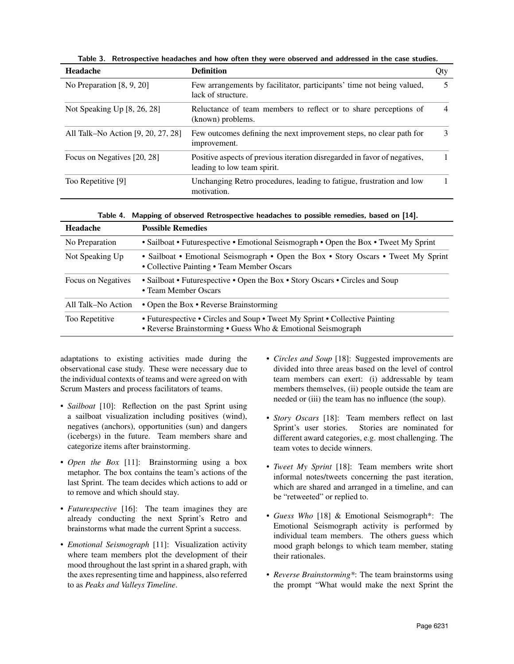| Headache                           | <b>Definition</b>                                                                                        | Qty |
|------------------------------------|----------------------------------------------------------------------------------------------------------|-----|
| No Preparation $[8, 9, 20]$        | Few arrangements by facilitator, participants' time not being valued,<br>lack of structure.              |     |
| Not Speaking Up $[8, 26, 28]$      | Reluctance of team members to reflect or to share perceptions of<br>(known) problems.                    | 4   |
| All Talk–No Action [9, 20, 27, 28] | Few outcomes defining the next improvement steps, no clear path for<br>improvement.                      |     |
| Focus on Negatives [20, 28]        | Positive aspects of previous iteration disregarded in favor of negatives,<br>leading to low team spirit. |     |
| Too Repetitive [9]                 | Unchanging Retro procedures, leading to fatigue, frustration and low<br>motivation.                      |     |

Table 3. Retrospective headaches and how often they were observed and addressed in the case studies.

Table 4. Mapping of observed Retrospective headaches to possible remedies, based on [14].

| Headache                                                     | <b>Possible Remedies</b>                                                                                                                   |  |
|--------------------------------------------------------------|--------------------------------------------------------------------------------------------------------------------------------------------|--|
| No Preparation                                               | • Sailboat • Futurespective • Emotional Seismograph • Open the Box • Tweet My Sprint                                                       |  |
| Not Speaking Up                                              | • Sailboat • Emotional Seismograph • Open the Box • Story Oscars • Tweet My Sprint<br>• Collective Painting • Team Member Oscars           |  |
| Focus on Negatives                                           | • Sailboat • Futurespective • Open the Box • Story Oscars • Circles and Soup<br>• Team Member Oscars                                       |  |
| All Talk–No Action<br>• Open the Box • Reverse Brainstorming |                                                                                                                                            |  |
| Too Repetitive                                               | • Futurespective • Circles and Soup • Tweet My Sprint • Collective Painting<br>• Reverse Brainstorming • Guess Who & Emotional Seismograph |  |

adaptations to existing activities made during the observational case study. These were necessary due to the individual contexts of teams and were agreed on with Scrum Masters and process facilitators of teams.

- *Sailboat* [10]: Reflection on the past Sprint using a sailboat visualization including positives (wind), negatives (anchors), opportunities (sun) and dangers (icebergs) in the future. Team members share and categorize items after brainstorming.
- *Open the Box* [11]: Brainstorming using a box metaphor. The box contains the team's actions of the last Sprint. The team decides which actions to add or to remove and which should stay.
- *Futurespective* [16]: The team imagines they are already conducting the next Sprint's Retro and brainstorms what made the current Sprint a success.
- *Emotional Seismograph* [11]: Visualization activity where team members plot the development of their mood throughout the last sprint in a shared graph, with the axes representing time and happiness, also referred to as *Peaks and Valleys Timeline*.
- *Circles and Soup* [18]: Suggested improvements are divided into three areas based on the level of control team members can exert: (i) addressable by team members themselves, (ii) people outside the team are needed or (iii) the team has no influence (the soup).
- *Story Oscars* [18]: Team members reflect on last Sprint's user stories. Stories are nominated for different award categories, e.g. most challenging. The team votes to decide winners.
- *Tweet My Sprint* [18]: Team members write short informal notes/tweets concerning the past iteration, which are shared and arranged in a timeline, and can be "retweeted" or replied to.
- *Guess Who* [18] & Emotional Seismograph\*: The Emotional Seismograph activity is performed by individual team members. The others guess which mood graph belongs to which team member, stating their rationales.
- *Reverse Brainstorming\**: The team brainstorms using the prompt "What would make the next Sprint the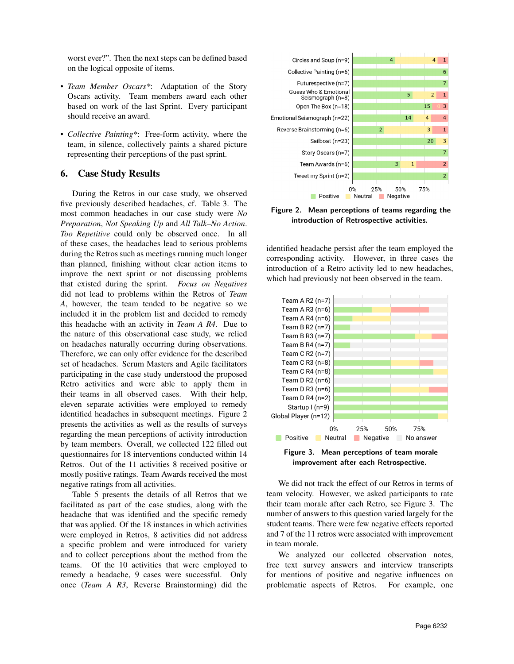worst ever?". Then the next steps can be defined based on the logical opposite of items.

- *Team Member Oscars\**: Adaptation of the Story Oscars activity. Team members award each other based on work of the last Sprint. Every participant should receive an award.
- *Collective Painting\**: Free-form activity, where the team, in silence, collectively paints a shared picture representing their perceptions of the past sprint.

## 6. Case Study Results

During the Retros in our case study, we observed five previously described headaches, cf. Table 3. The most common headaches in our case study were *No Preparation*, *Not Speaking Up* and *All Talk–No Action*. *Too Repetitive* could only be observed once. In all of these cases, the headaches lead to serious problems during the Retros such as meetings running much longer than planned, finishing without clear action items to improve the next sprint or not discussing problems that existed during the sprint. *Focus on Negatives* did not lead to problems within the Retros of *Team A*, however, the team tended to be negative so we included it in the problem list and decided to remedy this headache with an activity in *Team A R4*. Due to the nature of this observational case study, we relied on headaches naturally occurring during observations. Therefore, we can only offer evidence for the described set of headaches. Scrum Masters and Agile facilitators participating in the case study understood the proposed Retro activities and were able to apply them in their teams in all observed cases. With their help, eleven separate activities were employed to remedy identified headaches in subsequent meetings. Figure 2 presents the activities as well as the results of surveys regarding the mean perceptions of activity introduction by team members. Overall, we collected 122 filled out questionnaires for 18 interventions conducted within 14 Retros. Out of the 11 activities 8 received positive or mostly positive ratings. Team Awards received the most negative ratings from all activities.

Table 5 presents the details of all Retros that we facilitated as part of the case studies, along with the headache that was identified and the specific remedy that was applied. Of the 18 instances in which activities were employed in Retros, 8 activities did not address a specific problem and were introduced for variety and to collect perceptions about the method from the teams. Of the 10 activities that were employed to remedy a headache, 9 cases were successful. Only once (*Team A R3*, Reverse Brainstorming) did the



Figure 2. Mean perceptions of teams regarding the introduction of Retrospective activities.

identified headache persist after the team employed the corresponding activity. However, in three cases the introduction of a Retro activity led to new headaches, which had previously not been observed in the team.



Figure 3. Mean perceptions of team morale improvement after each Retrospective.

We did not track the effect of our Retros in terms of team velocity. However, we asked participants to rate their team morale after each Retro, see Figure 3. The number of answers to this question varied largely for the student teams. There were few negative effects reported and 7 of the 11 retros were associated with improvement in team morale.

We analyzed our collected observation notes, free text survey answers and interview transcripts for mentions of positive and negative influences on problematic aspects of Retros. For example, one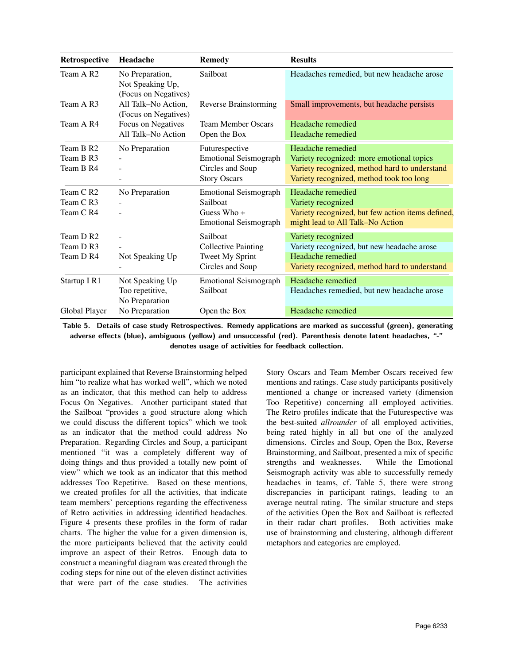| Retrospective                       | Headache                                                    | <b>Remedy</b>                                                                             | <b>Results</b>                                                                                                                                              |
|-------------------------------------|-------------------------------------------------------------|-------------------------------------------------------------------------------------------|-------------------------------------------------------------------------------------------------------------------------------------------------------------|
| Team A R <sub>2</sub>               | No Preparation,<br>Not Speaking Up,<br>(Focus on Negatives) | Sailboat                                                                                  | Headaches remedied, but new headache arose                                                                                                                  |
| Team A R3                           | All Talk-No Action,<br>(Focus on Negatives)                 | Reverse Brainstorming                                                                     | Small improvements, but headache persists                                                                                                                   |
| Team A R4                           | Focus on Negatives<br>All Talk-No Action                    | <b>Team Member Oscars</b><br>Open the Box                                                 | Headache remedied<br>Headache remedied                                                                                                                      |
| Team B R2<br>Team B R3<br>Team B R4 | No Preparation                                              | Futurespective<br><b>Emotional Seismograph</b><br>Circles and Soup<br><b>Story Oscars</b> | Headache remedied<br>Variety recognized: more emotional topics<br>Variety recognized, method hard to understand<br>Variety recognized, method took too long |
| Team C R2<br>Team C R3<br>Team C R4 | No Preparation                                              | <b>Emotional Seismograph</b><br>Sailboat<br>Guess Who $+$<br><b>Emotional Seismograph</b> | Headache remedied<br>Variety recognized<br>Variety recognized, but few action items defined,<br>might lead to All Talk-No Action                            |
| Team D R2<br>Team D R3<br>Team D R4 | Not Speaking Up                                             | Sailboat<br><b>Collective Painting</b><br>Tweet My Sprint<br>Circles and Soup             | Variety recognized<br>Variety recognized, but new headache arose<br>Headache remedied<br>Variety recognized, method hard to understand                      |
| Startup IR1                         | Not Speaking Up<br>Too repetitive,<br>No Preparation        | <b>Emotional Seismograph</b><br>Sailboat                                                  | Headache remedied<br>Headaches remedied, but new headache arose                                                                                             |
| Global Player                       | No Preparation                                              | Open the Box                                                                              | Headache remedied                                                                                                                                           |

Table 5. Details of case study Retrospectives. Remedy applications are marked as successful (green), generating adverse effects (blue), ambiguous (yellow) and unsuccessful (red). Parenthesis denote latent headaches, "-" denotes usage of activities for feedback collection.

participant explained that Reverse Brainstorming helped him "to realize what has worked well", which we noted as an indicator, that this method can help to address Focus On Negatives. Another participant stated that the Sailboat "provides a good structure along which we could discuss the different topics" which we took as an indicator that the method could address No Preparation. Regarding Circles and Soup, a participant mentioned "it was a completely different way of doing things and thus provided a totally new point of view" which we took as an indicator that this method addresses Too Repetitive. Based on these mentions, we created profiles for all the activities, that indicate team members' perceptions regarding the effectiveness of Retro activities in addressing identified headaches. Figure 4 presents these profiles in the form of radar charts. The higher the value for a given dimension is, the more participants believed that the activity could improve an aspect of their Retros. Enough data to construct a meaningful diagram was created through the coding steps for nine out of the eleven distinct activities that were part of the case studies. The activities Story Oscars and Team Member Oscars received few mentions and ratings. Case study participants positively mentioned a change or increased variety (dimension Too Repetitive) concerning all employed activities. The Retro profiles indicate that the Futurespective was the best-suited *allrounder* of all employed activities, being rated highly in all but one of the analyzed dimensions. Circles and Soup, Open the Box, Reverse Brainstorming, and Sailboat, presented a mix of specific strengths and weaknesses. While the Emotional Seismograph activity was able to successfully remedy headaches in teams, cf. Table 5, there were strong discrepancies in participant ratings, leading to an average neutral rating. The similar structure and steps of the activities Open the Box and Sailboat is reflected in their radar chart profiles. Both activities make use of brainstorming and clustering, although different metaphors and categories are employed.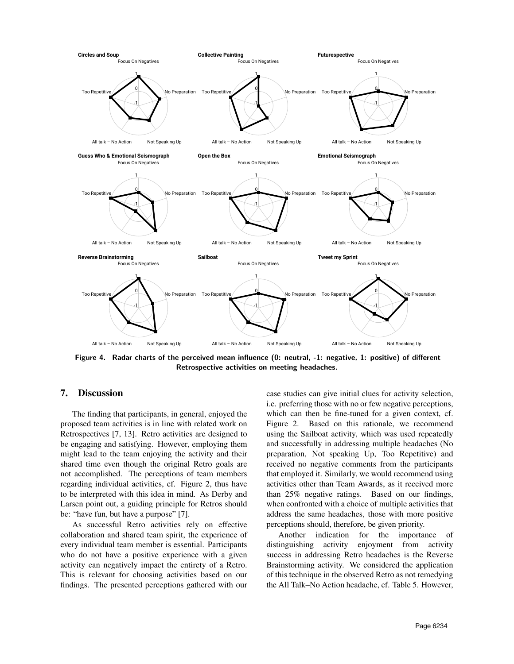

Figure 4. Radar charts of the perceived mean influence (0: neutral, -1: negative, 1: positive) of different Retrospective activities on meeting headaches.

## 7. Discussion

The finding that participants, in general, enjoyed the proposed team activities is in line with related work on Retrospectives [7, 13]. Retro activities are designed to be engaging and satisfying. However, employing them might lead to the team enjoying the activity and their shared time even though the original Retro goals are not accomplished. The perceptions of team members regarding individual activities, cf. Figure 2, thus have to be interpreted with this idea in mind. As Derby and Larsen point out, a guiding principle for Retros should be: "have fun, but have a purpose" [7].

As successful Retro activities rely on effective collaboration and shared team spirit, the experience of every individual team member is essential. Participants who do not have a positive experience with a given activity can negatively impact the entirety of a Retro. This is relevant for choosing activities based on our findings. The presented perceptions gathered with our

case studies can give initial clues for activity selection, i.e. preferring those with no or few negative perceptions, which can then be fine-tuned for a given context, cf. Figure 2. Based on this rationale, we recommend using the Sailboat activity, which was used repeatedly and successfully in addressing multiple headaches (No preparation, Not speaking Up, Too Repetitive) and received no negative comments from the participants that employed it. Similarly, we would recommend using activities other than Team Awards, as it received more than 25% negative ratings. Based on our findings, when confronted with a choice of multiple activities that address the same headaches, those with more positive perceptions should, therefore, be given priority.

Another indication for the importance of distinguishing activity enjoyment from activity success in addressing Retro headaches is the Reverse Brainstorming activity. We considered the application of this technique in the observed Retro as not remedying the All Talk–No Action headache, cf. Table 5. However,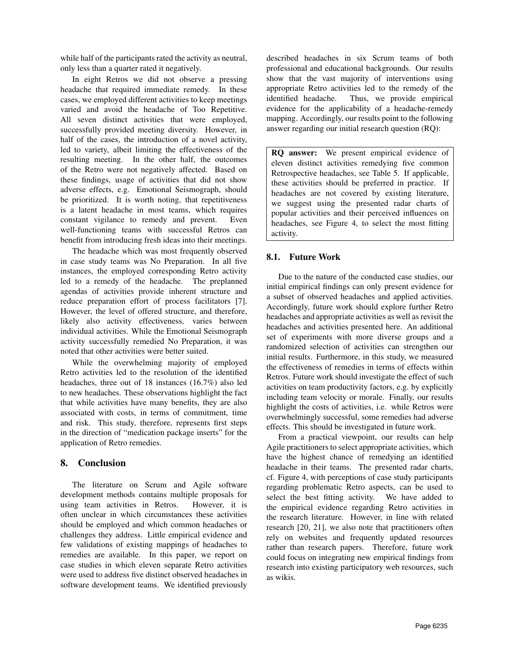while half of the participants rated the activity as neutral, only less than a quarter rated it negatively.

In eight Retros we did not observe a pressing headache that required immediate remedy. In these cases, we employed different activities to keep meetings varied and avoid the headache of Too Repetitive. All seven distinct activities that were employed, successfully provided meeting diversity. However, in half of the cases, the introduction of a novel activity, led to variety, albeit limiting the effectiveness of the resulting meeting. In the other half, the outcomes of the Retro were not negatively affected. Based on these findings, usage of activities that did not show adverse effects, e.g. Emotional Seismograph, should be prioritized. It is worth noting, that repetitiveness is a latent headache in most teams, which requires constant vigilance to remedy and prevent. Even well-functioning teams with successful Retros can benefit from introducing fresh ideas into their meetings.

The headache which was most frequently observed in case study teams was No Preparation. In all five instances, the employed corresponding Retro activity led to a remedy of the headache. The preplanned agendas of activities provide inherent structure and reduce preparation effort of process facilitators [7]. However, the level of offered structure, and therefore, likely also activity effectiveness, varies between individual activities. While the Emotional Seismograph activity successfully remedied No Preparation, it was noted that other activities were better suited.

While the overwhelming majority of employed Retro activities led to the resolution of the identified headaches, three out of 18 instances (16.7%) also led to new headaches. These observations highlight the fact that while activities have many benefits, they are also associated with costs, in terms of commitment, time and risk. This study, therefore, represents first steps in the direction of "medication package inserts" for the application of Retro remedies.

# 8. Conclusion

The literature on Scrum and Agile software development methods contains multiple proposals for using team activities in Retros. However, it is often unclear in which circumstances these activities should be employed and which common headaches or challenges they address. Little empirical evidence and few validations of existing mappings of headaches to remedies are available. In this paper, we report on case studies in which eleven separate Retro activities were used to address five distinct observed headaches in software development teams. We identified previously

described headaches in six Scrum teams of both professional and educational backgrounds. Our results show that the vast majority of interventions using appropriate Retro activities led to the remedy of the identified headache. Thus, we provide empirical evidence for the applicability of a headache-remedy mapping. Accordingly, our results point to the following answer regarding our initial research question (RQ):

RQ answer: We present empirical evidence of eleven distinct activities remedying five common Retrospective headaches, see Table 5. If applicable, these activities should be preferred in practice. If headaches are not covered by existing literature, we suggest using the presented radar charts of popular activities and their perceived influences on headaches, see Figure 4, to select the most fitting activity.

## 8.1. Future Work

Due to the nature of the conducted case studies, our initial empirical findings can only present evidence for a subset of observed headaches and applied activities. Accordingly, future work should explore further Retro headaches and appropriate activities as well as revisit the headaches and activities presented here. An additional set of experiments with more diverse groups and a randomized selection of activities can strengthen our initial results. Furthermore, in this study, we measured the effectiveness of remedies in terms of effects within Retros. Future work should investigate the effect of such activities on team productivity factors, e.g. by explicitly including team velocity or morale. Finally, our results highlight the costs of activities, i.e. while Retros were overwhelmingly successful, some remedies had adverse effects. This should be investigated in future work.

From a practical viewpoint, our results can help Agile practitioners to select appropriate activities, which have the highest chance of remedying an identified headache in their teams. The presented radar charts, cf. Figure 4, with perceptions of case study participants regarding problematic Retro aspects, can be used to select the best fitting activity. We have added to the empirical evidence regarding Retro activities in the research literature. However, in line with related research [20, 21], we also note that practitioners often rely on websites and frequently updated resources rather than research papers. Therefore, future work could focus on integrating new empirical findings from research into existing participatory web resources, such as wikis.